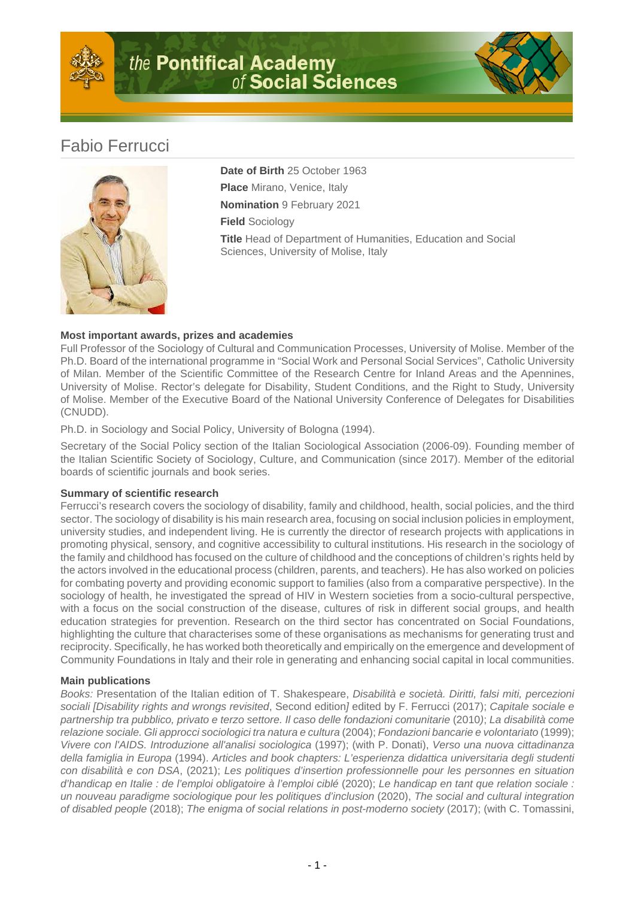



## Fabio Ferrucci



**Date of Birth** 25 October 1963 **Place** Mirano, Venice, Italy **Nomination** 9 February 2021 **Field** Sociology **Title** Head of Department of Humanities, Education and Social Sciences, University of Molise, Italy

## **Most important awards, prizes and academies**

Full Professor of the Sociology of Cultural and Communication Processes, University of Molise. Member of the Ph.D. Board of the international programme in "Social Work and Personal Social Services", Catholic University of Milan. Member of the Scientific Committee of the Research Centre for Inland Areas and the Apennines, University of Molise. Rector's delegate for Disability, Student Conditions, and the Right to Study, University of Molise. Member of the Executive Board of the National University Conference of Delegates for Disabilities (CNUDD).

Ph.D. in Sociology and Social Policy, University of Bologna (1994).

Secretary of the Social Policy section of the Italian Sociological Association (2006-09). Founding member of the Italian Scientific Society of Sociology, Culture, and Communication (since 2017). Member of the editorial boards of scientific journals and book series.

## **Summary of scientific research**

Ferrucci's research covers the sociology of disability, family and childhood, health, social policies, and the third sector. The sociology of disability is his main research area, focusing on social inclusion policies in employment, university studies, and independent living. He is currently the director of research projects with applications in promoting physical, sensory, and cognitive accessibility to cultural institutions. His research in the sociology of the family and childhood has focused on the culture of childhood and the conceptions of children's rights held by the actors involved in the educational process (children, parents, and teachers). He has also worked on policies for combating poverty and providing economic support to families (also from a comparative perspective). In the sociology of health, he investigated the spread of HIV in Western societies from a socio-cultural perspective, with a focus on the social construction of the disease, cultures of risk in different social groups, and health education strategies for prevention. Research on the third sector has concentrated on Social Foundations, highlighting the culture that characterises some of these organisations as mechanisms for generating trust and reciprocity. Specifically, he has worked both theoretically and empirically on the emergence and development of Community Foundations in Italy and their role in generating and enhancing social capital in local communities.

## **Main publications**

Books: Presentation of the Italian edition of T. Shakespeare, Disabilità e società. Diritti, falsi miti, percezioni sociali [Disability rights and wrongs revisited, Second edition] edited by F. Ferrucci (2017); Capitale sociale e partnership tra pubblico, privato e terzo settore. Il caso delle fondazioni comunitarie (2010); La disabilità come relazione sociale. Gli approcci sociologici tra natura e cultura (2004); Fondazioni bancarie e volontariato (1999); Vivere con l'AIDS. Introduzione all'analisi sociologica (1997); (with P. Donati), Verso una nuova cittadinanza della famiglia in Europa (1994). Articles and book chapters: L'esperienza didattica universitaria degli studenti con disabilità e con DSA, (2021); Les politiques d'insertion professionnelle pour les personnes en situation d'handicap en Italie : de l'emploi obligatoire à l'emploi ciblé (2020); Le handicap en tant que relation sociale : un nouveau paradigme sociologique pour les politiques d'inclusion (2020), The social and cultural integration of disabled people (2018); The enigma of social relations in post-moderno society (2017); (with C. Tomassini,